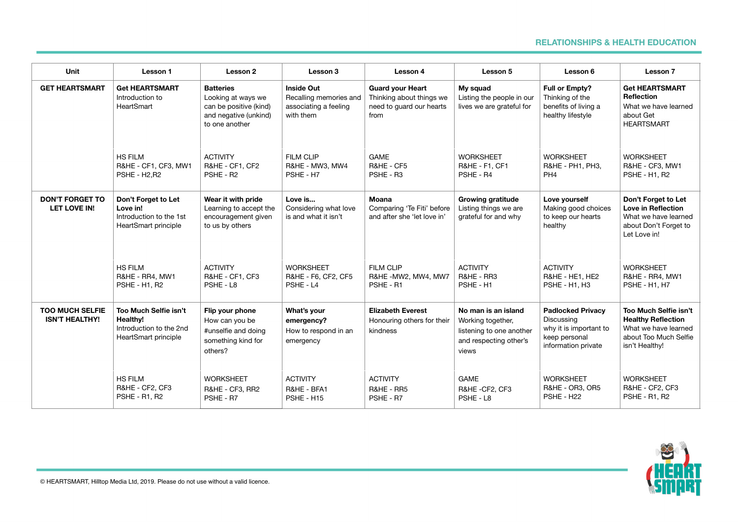## **RELATIONSHIPS & HEALTH EDUCATION**

| Unit                                            | Lesson 1                                                                                    | Lesson 2                                                                                                    | Lesson 3                                                                          | Lesson 4                                                                                | Lesson 5                                                                                                | Lesson 6                                                                                                 | Lesson 7                                                                                                              |
|-------------------------------------------------|---------------------------------------------------------------------------------------------|-------------------------------------------------------------------------------------------------------------|-----------------------------------------------------------------------------------|-----------------------------------------------------------------------------------------|---------------------------------------------------------------------------------------------------------|----------------------------------------------------------------------------------------------------------|-----------------------------------------------------------------------------------------------------------------------|
| <b>GET HEARTSMART</b>                           | <b>Get HEARTSMART</b><br>Introduction to<br>HeartSmart                                      | <b>Batteries</b><br>Looking at ways we<br>can be positive (kind)<br>and negative (unkind)<br>to one another | <b>Inside Out</b><br>Recalling memories and<br>associating a feeling<br>with them | <b>Guard your Heart</b><br>Thinking about things we<br>need to quard our hearts<br>from | My squad<br>Listing the people in our<br>lives we are grateful for                                      | Full or Empty?<br>Thinking of the<br>benefits of living a<br>healthy lifestyle                           | <b>Get HEARTSMART</b><br><b>Reflection</b><br>What we have learned<br>about Get<br><b>HEARTSMART</b>                  |
|                                                 | <b>HS FILM</b><br>R&HE - CF1, CF3, MW1<br>PSHE - H <sub>2</sub> .R <sub>2</sub>             | <b>ACTIVITY</b><br>R&HE - CF1, CF2<br>PSHE - R2                                                             | <b>FILM CLIP</b><br>R&HE - MW3, MW4<br>PSHE - H7                                  | <b>GAME</b><br>R&HE - CF5<br>PSHE - R3                                                  | <b>WORKSHEET</b><br>R&HE - F1, CF1<br>PSHE - R4                                                         | <b>WORKSHEET</b><br>R&HE - PH1, PH3,<br>PH <sub>4</sub>                                                  | <b>WORKSHEET</b><br>R&HE - CF3, MW1<br><b>PSHE - H1, R2</b>                                                           |
| <b>DON'T FORGET TO</b><br><b>LET LOVE IN!</b>   | Don't Forget to Let<br>Love in!<br>Introduction to the 1st<br>HeartSmart principle          | Wear it with pride<br>Learning to accept the<br>encouragement given<br>to us by others                      | Love is<br>Considering what love<br>is and what it isn't                          | Moana<br>Comparing 'Te Fiti' before<br>and after she 'let love in'                      | <b>Growing gratitude</b><br>Listing things we are<br>grateful for and why                               | Love yourself<br>Making good choices<br>to keep our hearts<br>healthy                                    | Don't Forget to Let<br><b>Love in Reflection</b><br>What we have learned<br>about Don't Forget to<br>Let Love in!     |
|                                                 | <b>HS FILM</b><br>R&HE - RR4, MW1<br><b>PSHE - H1, R2</b>                                   | <b>ACTIVITY</b><br>R&HE - CF1, CF3<br>PSHE - L8                                                             | <b>WORKSHEET</b><br>R&HE - F6, CF2, CF5<br>PSHE - L4                              | <b>FILM CLIP</b><br>R&HE-MW2, MW4, MW7<br>PSHE - R1                                     | <b>ACTIVITY</b><br>R&HE - RR3<br>PSHE - H1                                                              | <b>ACTIVITY</b><br>R&HE - HE1, HE2<br><b>PSHE - H1, H3</b>                                               | <b>WORKSHEET</b><br>R&HE - RR4, MW1<br><b>PSHE - H1, H7</b>                                                           |
| <b>TOO MUCH SELFIE</b><br><b>ISN'T HEALTHY!</b> | Too Much Selfie isn't<br><b>Healthy!</b><br>Introduction to the 2nd<br>HeartSmart principle | Flip your phone<br>How can you be<br>#unselfie and doing<br>something kind for<br>others?                   | What's your<br>emergency?<br>How to respond in an<br>emergency                    | <b>Elizabeth Everest</b><br>Honouring others for their<br>kindness                      | No man is an island<br>Working together,<br>listening to one another<br>and respecting other's<br>views | <b>Padlocked Privacy</b><br>Discussing<br>why it is important to<br>keep personal<br>information private | Too Much Selfie isn't<br><b>Healthy Reflection</b><br>What we have learned<br>about Too Much Selfie<br>isn't Healthy! |
|                                                 | <b>HS FILM</b><br>R&HE - CF2, CF3<br><b>PSHE - R1, R2</b>                                   | <b>WORKSHEET</b><br>R&HE - CF3, RR2<br>PSHE - R7                                                            | <b>ACTIVITY</b><br>R&HE - BFA1<br>PSHE - H15                                      | <b>ACTIVITY</b><br>R&HE - RR5<br>PSHE - R7                                              | <b>GAME</b><br>R&HE-CF2, CF3<br>PSHE - L8                                                               | <b>WORKSHEET</b><br>R&HE - OR3, OR5<br>PSHE - H22                                                        | <b>WORKSHEET</b><br>R&HE - CF2, CF3<br><b>PSHE - R1, R2</b>                                                           |